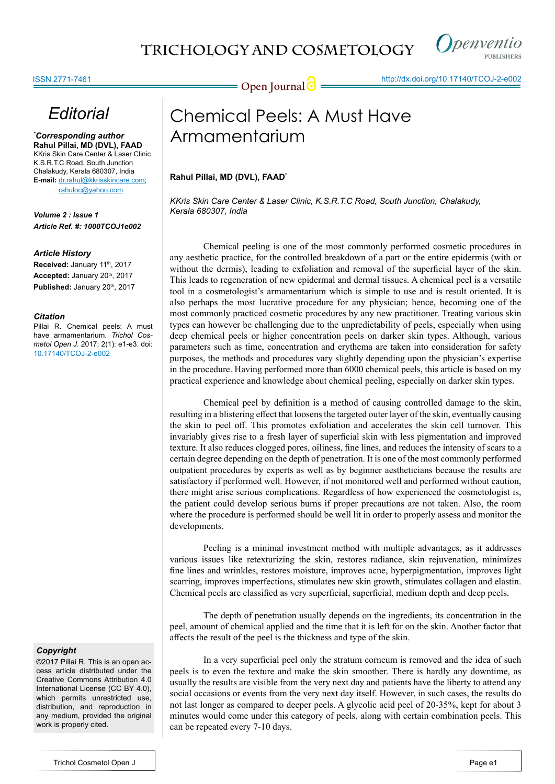

## *Editorial*

*\* Corresponding author* **Rahul Pillai, MD (DVL), FAAD** KKris Skin Care Center & Laser Clinic K.S.R.T.C Road, South Junction Chalakudy, Kerala 680307, India **E-mail:** dr.rahul@kkrisskincare.com;

rahuloc@yahoo.com

*Volume 2 : Issue 1 Article Ref. #: 1000TCOJ1e002*

#### *Article History*

Received: January 11<sup>th</sup>, 2017 Accepted: January 20<sup>th</sup>, 2017 Published: January 20<sup>th</sup>, 2017

#### *Citation*

Pillai R. Chemical peels: A must have armamentarium. *Trichol Cosmetol Open J*. 2017; 2(1): e1-e3. doi: [10.17140/TCOJ-2-e002](http://dx.doi.org/10.17140/TCOJ-2-e002)

#### *Copyright*

©2017 Pillai R. This is an open access article distributed under the Creative Commons Attribution 4.0 International License (CC BY 4.0), which permits unrestricted use, distribution, and reproduction in any medium, provided the original work is properly cited.

# Chemical Peels: A Must Have Armamentarium

### **Rahul Pillai, MD (DVL), FAAD\***

*KKris Skin Care Center & Laser Clinic, K.S.R.T.C Road, South Junction, Chalakudy, Kerala 680307, India*

Chemical peeling is one of the most commonly performed cosmetic procedures in any aesthetic practice, for the controlled breakdown of a part or the entire epidermis (with or without the dermis), leading to exfoliation and removal of the superficial layer of the skin. This leads to regeneration of new epidermal and dermal tissues. A chemical peel is a versatile tool in a cosmetologist's armamentarium which is simple to use and is result oriented. It is also perhaps the most lucrative procedure for any physician; hence, becoming one of the most commonly practiced cosmetic procedures by any new practitioner. Treating various skin types can however be challenging due to the unpredictability of peels, especially when using deep chemical peels or higher concentration peels on darker skin types. Although, various parameters such as time, concentration and erythema are taken into consideration for safety purposes, the methods and procedures vary slightly depending upon the physician's expertise in the procedure. Having performed more than 6000 chemical peels, this article is based on my practical experience and knowledge about chemical peeling, especially on darker skin types.

Chemical peel by definition is a method of causing controlled damage to the skin, resulting in a blistering effect that loosens the targeted outer layer of the skin, eventually causing the skin to peel off. This promotes exfoliation and accelerates the skin cell turnover. This invariably gives rise to a fresh layer of superficial skin with less pigmentation and improved texture. It also reduces clogged pores, oiliness, fine lines, and reduces the intensity of scars to a certain degree depending on the depth of penetration. It is one of the most commonly performed outpatient procedures by experts as well as by beginner aestheticians because the results are satisfactory if performed well. However, if not monitored well and performed without caution, there might arise serious complications. Regardless of how experienced the cosmetologist is, the patient could develop serious burns if proper precautions are not taken. Also, the room where the procedure is performed should be well lit in order to properly assess and monitor the developments.

Peeling is a minimal investment method with multiple advantages, as it addresses various issues like retexturizing the skin, restores radiance, skin rejuvenation, minimizes fine lines and wrinkles, restores moisture, improves acne, hyperpigmentation, improves light scarring, improves imperfections, stimulates new skin growth, stimulates collagen and elastin. Chemical peels are classified as very superficial, superficial, medium depth and deep peels.

The depth of penetration usually depends on the ingredients, its concentration in the peel, amount of chemical applied and the time that it is left for on the skin. Another factor that affects the result of the peel is the thickness and type of the skin.

In a very superficial peel only the stratum corneum is removed and the idea of such peels is to even the texture and make the skin smoother. There is hardly any downtime, as usually the results are visible from the very next day and patients have the liberty to attend any social occasions or events from the very next day itself. However, in such cases, the results do not last longer as compared to deeper peels. A glycolic acid peel of 20-35%, kept for about 3 minutes would come under this category of peels, along with certain combination peels. This can be repeated every 7-10 days.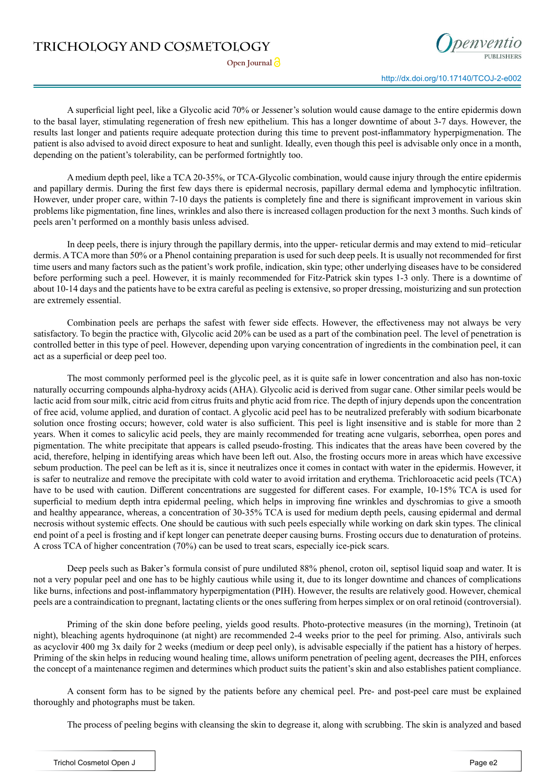### **TRICHOLOGY AND COSMETOLOGY**

**Open Journal** 

A superficial light peel, like a Glycolic acid 70% or Jessener's solution would cause damage to the entire epidermis down to the basal layer, stimulating regeneration of fresh new epithelium. This has a longer downtime of about 3-7 days. However, the results last longer and patients require adequate protection during this time to prevent post-inflammatory hyperpigmenation. The patient is also advised to avoid direct exposure to heat and sunlight. Ideally, even though this peel is advisable only once in a month, depending on the patient's tolerability, can be performed fortnightly too.

A medium depth peel, like a TCA 20-35%, or TCA-Glycolic combination, would cause injury through the entire epidermis and papillary dermis. During the first few days there is epidermal necrosis, papillary dermal edema and lymphocytic infiltration. However, under proper care, within 7-10 days the patients is completely fine and there is significant improvement in various skin problems like pigmentation, fine lines, wrinkles and also there is increased collagen production for the next 3 months. Such kinds of peels aren't performed on a monthly basis unless advised.

In deep peels, there is injury through the papillary dermis, into the upper- reticular dermis and may extend to mid–reticular dermis. A TCA more than 50% or a Phenol containing preparation is used for such deep peels. It is usually not recommended for first time users and many factors such as the patient's work profile, indication, skin type; other underlying diseases have to be considered before performing such a peel. However, it is mainly recommended for Fitz-Patrick skin types 1-3 only. There is a downtime of about 10-14 days and the patients have to be extra careful as peeling is extensive, so proper dressing, moisturizing and sun protection are extremely essential.

Combination peels are perhaps the safest with fewer side effects. However, the effectiveness may not always be very satisfactory. To begin the practice with, Glycolic acid 20% can be used as a part of the combination peel. The level of penetration is controlled better in this type of peel. However, depending upon varying concentration of ingredients in the combination peel, it can act as a superficial or deep peel too.

The most commonly performed peel is the glycolic peel, as it is quite safe in lower concentration and also has non-toxic naturally occurring compounds alpha-hydroxy acids (AHA). Glycolic acid is derived from sugar cane. Other similar peels would be lactic acid from sour milk, citric acid from citrus fruits and phytic acid from rice. The depth of injury depends upon the concentration of free acid, volume applied, and duration of contact. A glycolic acid peel has to be neutralized preferably with sodium bicarbonate solution once frosting occurs; however, cold water is also sufficient. This peel is light insensitive and is stable for more than 2 years. When it comes to salicylic acid peels, they are mainly recommended for treating acne vulgaris, seborrhea, open pores and pigmentation. The white precipitate that appears is called pseudo-frosting. This indicates that the areas have been covered by the acid, therefore, helping in identifying areas which have been left out. Also, the frosting occurs more in areas which have excessive sebum production. The peel can be left as it is, since it neutralizes once it comes in contact with water in the epidermis. However, it is safer to neutralize and remove the precipitate with cold water to avoid irritation and erythema. Trichloroacetic acid peels (TCA) have to be used with caution. Different concentrations are suggested for different cases. For example, 10-15% TCA is used for superficial to medium depth intra epidermal peeling, which helps in improving fine wrinkles and dyschromias to give a smooth and healthy appearance, whereas, a concentration of 30-35% TCA is used for medium depth peels, causing epidermal and dermal necrosis without systemic effects. One should be cautious with such peels especially while working on dark skin types. The clinical end point of a peel is frosting and if kept longer can penetrate deeper causing burns. Frosting occurs due to denaturation of proteins. A cross TCA of higher concentration (70%) can be used to treat scars, especially ice-pick scars.

Deep peels such as Baker's formula consist of pure undiluted 88% phenol, croton oil, septisol liquid soap and water. It is not a very popular peel and one has to be highly cautious while using it, due to its longer downtime and chances of complications like burns, infections and post-inflammatory hyperpigmentation (PIH). However, the results are relatively good. However, chemical peels are a contraindication to pregnant, lactating clients or the ones suffering from herpes simplex or on oral retinoid (controversial).

Priming of the skin done before peeling, yields good results. Photo-protective measures (in the morning), Tretinoin (at night), bleaching agents hydroquinone (at night) are recommended 2-4 weeks prior to the peel for priming. Also, antivirals such as acyclovir 400 mg 3x daily for 2 weeks (medium or deep peel only), is advisable especially if the patient has a history of herpes. Priming of the skin helps in reducing wound healing time, allows uniform penetration of peeling agent, decreases the PIH, enforces the concept of a maintenance regimen and determines which product suits the patient's skin and also establishes patient compliance.

A consent form has to be signed by the patients before any chemical peel. Pre- and post-peel care must be explained thoroughly and photographs must be taken.

The process of peeling begins with cleansing the skin to degrease it, along with scrubbing. The skin is analyzed and based